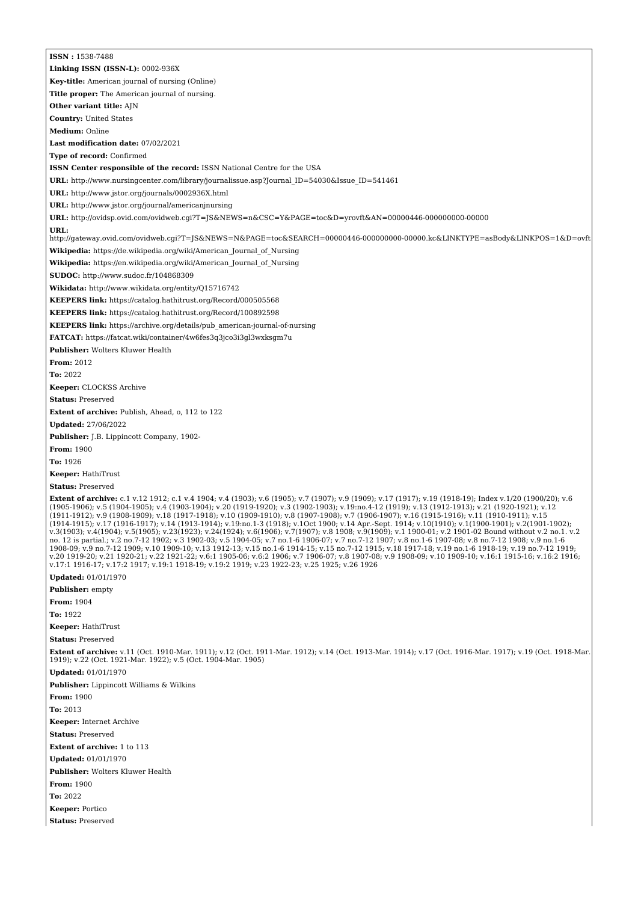**ISSN :** 1538-7488 **Linking ISSN (ISSN-L):** 0002-936X **Key-title:** American journal of nursing (Online) **Title proper:** The American journal of nursing. **Other variant title:** AJN **Country:** United States **Medium:** Online **Last modification date:** 07/02/2021 **Type of record:** Confirmed **ISSN Center responsible of the record:** ISSN National Centre for the USA **URL:** [http://www.nursingcenter.com/library/journalissue.asp?Journal\\_ID=54030&Issue\\_ID=541461](http://www.nursingcenter.com/library/journalissue.asp?Journal_ID=54030&Issue_ID=541461) **URL:** <http://www.jstor.org/journals/0002936X.html> **URL:** <http://www.jstor.org/journal/americanjnursing> **URL:** <http://ovidsp.ovid.com/ovidweb.cgi?T=JS&NEWS=n&CSC=Y&PAGE=toc&D=yrovft&AN=00000446-000000000-00000> **URL:** <http://gateway.ovid.com/ovidweb.cgi?T=JS&NEWS=N&PAGE=toc&SEARCH=00000446-000000000-00000.kc&LINKTYPE=asBody&LINKPOS=1&D=ovft> **Wikipedia:** [https://de.wikipedia.org/wiki/American\\_Journal\\_of\\_Nursing](https://de.wikipedia.org/wiki/American_Journal_of_Nursing) **Wikipedia:** [https://en.wikipedia.org/wiki/American\\_Journal\\_of\\_Nursing](https://en.wikipedia.org/wiki/American_Journal_of_Nursing) **SUDOC:** <http://www.sudoc.fr/104868309> **Wikidata:** <http://www.wikidata.org/entity/Q15716742> **KEEPERS link:** <https://catalog.hathitrust.org/Record/000505568> **KEEPERS link:** <https://catalog.hathitrust.org/Record/100892598> **KEEPERS link:** [https://archive.org/details/pub\\_american-journal-of-nursing](https://archive.org/details/pub_american-journal-of-nursing) **FATCAT:** <https://fatcat.wiki/container/4w6fes3q3jco3i3gl3wxksgm7u> **Publisher:** Wolters Kluwer Health **From:** 2012 **To:** 2022 **Keeper:** CLOCKSS Archive **Status:** Preserved **Extent of archive:** Publish, Ahead, o, 112 to 122 **Updated:** 27/06/2022 **Publisher:** J.B. Lippincott Company, 1902- **From:** 1900 **To:** 1926 **Keeper:** HathiTrust **Status:** Preserved **Extent of archive:** c.1 v.12 1912; c.1 v.4 1904; v.4 (1903); v.6 (1905); v.7 (1907); v.9 (1909); v.17 (1917); v.19 (1918-19); Index v.1/20 (1900/20); v.6 (1905-1906); v.5 (1904-1905); v.4 (1903-1904); v.20 (1919-1920); v.3 (1902-1903); v.19:no.4-12 (1919); v.13 (1912-1913); v.21 (1920-1921); v.12 (1911-1912); v.9 (1908-1909); v.18 (1917-1918); v.10 (1909-1910); v.8 (1907-1908); v.7 (1906-1907); v.16 (1915-1916); v.11 (1910-1911); v.15<br>(1914-1915); v.17 (1916-1917); v.14 (1913-1914); v.19:no.1-3 (1918); v.1Oct 1900; v.3(1903); v.4(1904); v.5(1905); v.23(1923); v.24(1924); v.6(1906); v.7(1907); v.8 1908; v.9(1909); v.1 1900-01; v.2 1901-02 Bound without v.2 no.1. v.2 no. 12 is partial.; v.2 no.7-12 1902; v.3 1902-03; v.5 1904-05; v.7 no.1-6 1906-07; v.7 no.7-12 1907; v.8 no.1-6 1907-08; v.8 no.7-12 1908; v.9 no.1-6<br>1908-09; v.9 no.7-12 1909; v.10 1909-10; v.13 1912-13; v.15 no.1-6 1914 v.17:1 1916-17; v.17:2 1917; v.19:1 1918-19; v.19:2 1919; v.23 1922-23; v.25 1925; v.26 1926 **Updated:** 01/01/1970 **Publisher:** empty **From:** 1904 **To:** 1922 **Keeper:** HathiTrust **Status:** Preserved **Extent of archive:** v.11 (Oct. 1910-Mar. 1911); v.12 (Oct. 1911-Mar. 1912); v.14 (Oct. 1913-Mar. 1914); v.17 (Oct. 1916-Mar. 1917); v.19 (Oct. 1918-Mar. 1919); v.22 (Oct. 1921-Mar. 1922); v.5 (Oct. 1904-Mar. 1905) **Updated:** 01/01/1970 **Publisher:** Lippincott Williams & Wilkins **From:** 1900 **To:** 2013 **Keeper:** Internet Archive **Status:** Preserved **Extent of archive:** 1 to 113 **Updated:** 01/01/1970 **Publisher:** Wolters Kluwer Health **From:** 1900 **To:** 2022 **Keeper:** Portico **Status:** Preserved